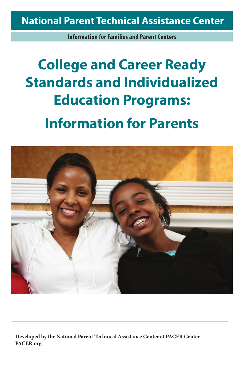# **National Parent Technical Assistance Center**

**Information for Families and Parent Centers**

# **College and Career Ready Standards and Individualized Education Programs: Information for Parents**



**Developed by the National Parent Technical Assistance Center at PACER Center PACER.org**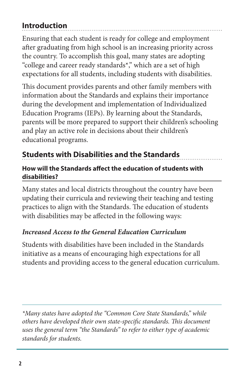## **Introduction**

Ensuring that each student is ready for college and employment after graduating from high school is an increasing priority across the country. To accomplish this goal, many states are adopting "college and career ready standards\*," which are a set of high expectations for all students, including students with disabilities.

This document provides parents and other family members with information about the Standards and explains their importance during the development and implementation of Individualized Education Programs (IEPs). By learning about the Standards, parents will be more prepared to support their children's schooling and play an active role in decisions about their children's educational programs.

## **Students with Disabilities and the Standards**

#### **How will the Standards affect the education of students with disabilities?**

Many states and local districts throughout the country have been updating their curricula and reviewing their teaching and testing practices to align with the Standards. The education of students with disabilities may be affected in the following ways:

### *Increased Access to the General Education Curriculum*

Students with disabilities have been included in the Standards initiative as a means of encouraging high expectations for all students and providing access to the general education curriculum.

*\*Many states have adopted the "Common Core State Standards," while others have developed their own state-specific standards. This document uses the general term "the Standards" to refer to either type of academic standards for students.*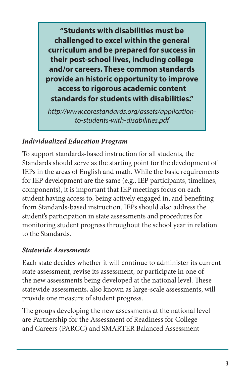**"Students with disabilities must be challenged to excel within the general curriculum and be prepared for success in their post-school lives, including college and/or careers. These common standards provide an historic opportunity to improve access to rigorous academic content standards for students with disabilities."** 

*http://www.corestandards.org/assets/applicationto-students-with-disabilities.pdf* 

## *Individualized Education Program*

To support standards-based instruction for all students, the Standards should serve as the starting point for the development of IEPs in the areas of English and math. While the basic requirements for IEP development are the same (e.g., IEP participants, timelines, components), it is important that IEP meetings focus on each student having access to, being actively engaged in, and benefiting from Standards-based instruction. IEPs should also address the student's participation in state assessments and procedures for monitoring student progress throughout the school year in relation to the Standards.

#### *Statewide Assessments*

Each state decides whether it will continue to administer its current state assessment, revise its assessment, or participate in one of the new assessments being developed at the national level. These statewide assessments, also known as large-scale assessments, will provide one measure of student progress.

The groups developing the new assessments at the national level are Partnership for the Assessment of Readiness for College and Careers (PARCC) and SMARTER Balanced Assessment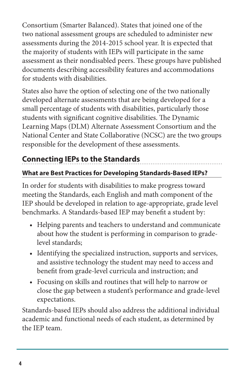Consortium (Smarter Balanced). States that joined one of the two national assessment groups are scheduled to administer new assessments during the 2014-2015 school year. It is expected that the majority of students with IEPs will participate in the same assessment as their nondisabled peers. These groups have published documents describing accessibility features and accommodations for students with disabilities.

States also have the option of selecting one of the two nationally developed alternate assessments that are being developed for a small percentage of students with disabilities, particularly those students with significant cognitive disabilities. The Dynamic Learning Maps (DLM) Alternate Assessment Consortium and the National Center and State Collaborative (NCSC) are the two groups responsible for the development of these assessments.

## **Connecting IEPs to the Standards**

### **What are Best Practices for Developing Standards-Based IEPs?**

In order for students with disabilities to make progress toward meeting the Standards, each English and math component of the IEP should be developed in relation to age-appropriate, grade level benchmarks. A Standards-based IEP may benefit a student by:

- Helping parents and teachers to understand and communicate about how the student is performing in comparison to gradelevel standards;
- Identifying the specialized instruction, supports and services, and assistive technology the student may need to access and benefit from grade-level curricula and instruction; and
- Focusing on skills and routines that will help to narrow or close the gap between a student's performance and grade-level expectations.

Standards-based IEPs should also address the additional individual academic and functional needs of each student, as determined by the IEP team.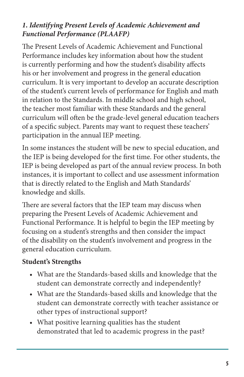### *1. Identifying Present Levels of Academic Achievement and Functional Performance (PLAAFP)*

The Present Levels of Academic Achievement and Functional Performance includes key information about how the student is currently performing and how the student's disability affects his or her involvement and progress in the general education curriculum. It is very important to develop an accurate description of the student's current levels of performance for English and math in relation to the Standards. In middle school and high school, the teacher most familiar with these Standards and the general curriculum will often be the grade-level general education teachers of a specific subject. Parents may want to request these teachers' participation in the annual IEP meeting.

In some instances the student will be new to special education, and the IEP is being developed for the first time. For other students, the IEP is being developed as part of the annual review process. In both instances, it is important to collect and use assessment information that is directly related to the English and Math Standards' knowledge and skills.

There are several factors that the IEP team may discuss when preparing the Present Levels of Academic Achievement and Functional Performance. It is helpful to begin the IEP meeting by focusing on a student's strengths and then consider the impact of the disability on the student's involvement and progress in the general education curriculum.

### **Student's Strengths**

- What are the Standards-based skills and knowledge that the student can demonstrate correctly and independently?
- What are the Standards-based skills and knowledge that the student can demonstrate correctly with teacher assistance or other types of instructional support?
- What positive learning qualities has the student demonstrated that led to academic progress in the past?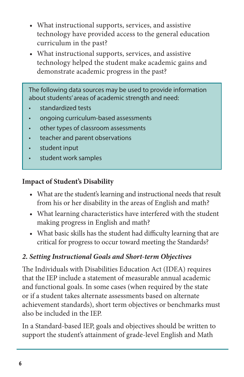- What instructional supports, services, and assistive technology have provided access to the general education curriculum in the past?
- What instructional supports, services, and assistive technology helped the student make academic gains and demonstrate academic progress in the past?

The following data sources may be used to provide information about students' areas of academic strength and need:

- standardized tests
- ongoing curriculum-based assessments
- other types of classroom assessments
- teacher and parent observations
- student input
- student work samples

#### **Impact of Student's Disability**

- What are the student's learning and instructional needs that result from his or her disability in the areas of English and math?
- What learning characteristics have interfered with the student making progress in English and math?
- What basic skills has the student had difficulty learning that are critical for progress to occur toward meeting the Standards?

#### *2. Setting Instructional Goals and Short-term Objectives*

The Individuals with Disabilities Education Act (IDEA) requires that the IEP include a statement of measurable annual academic and functional goals. In some cases (when required by the state or if a student takes alternate assessments based on alternate achievement standards), short term objectives or benchmarks must also be included in the IEP.

In a Standard-based IEP, goals and objectives should be written to support the student's attainment of grade-level English and Math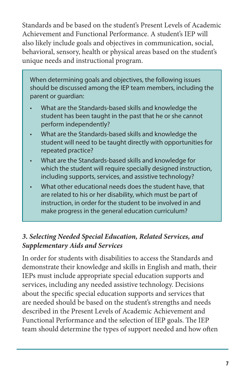Standards and be based on the student's Present Levels of Academic Achievement and Functional Performance. A student's IEP will also likely include goals and objectives in communication, social, behavioral, sensory, health or physical areas based on the student's unique needs and instructional program.

When determining goals and objectives, the following issues should be discussed among the IEP team members, including the parent or guardian:

- What are the Standards-based skills and knowledge the student has been taught in the past that he or she cannot perform independently?
- What are the Standards-based skills and knowledge the student will need to be taught directly with opportunities for repeated practice?
- What are the Standards-based skills and knowledge for which the student will require specially designed instruction, including supports, services, and assistive technology?
- What other educational needs does the student have, that are related to his or her disability, which must be part of instruction, in order for the student to be involved in and make progress in the general education curriculum?

### *3. Selecting Needed Special Education, Related Services, and Supplementary Aids and Services*

In order for students with disabilities to access the Standards and demonstrate their knowledge and skills in English and math, their IEPs must include appropriate special education supports and services, including any needed assistive technology. Decisions about the specific special education supports and services that are needed should be based on the student's strengths and needs described in the Present Levels of Academic Achievement and Functional Performance and the selection of IEP goals. The IEP team should determine the types of support needed and how often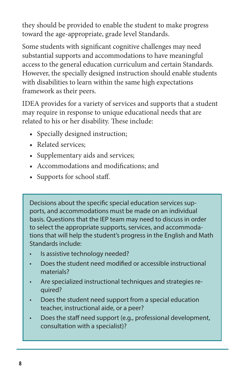they should be provided to enable the student to make progress toward the age-appropriate, grade level Standards.

Some students with significant cognitive challenges may need substantial supports and accommodations to have meaningful access to the general education curriculum and certain Standards. However, the specially designed instruction should enable students with disabilities to learn within the same high expectations framework as their peers.

IDEA provides for a variety of services and supports that a student may require in response to unique educational needs that are related to his or her disability. These include:

- Specially designed instruction;
- Related services;
- Supplementary aids and services;
- Accommodations and modifications; and
- Supports for school staff.

Decisions about the specific special education services supports, and accommodations must be made on an individual basis. Questions that the IEP team may need to discuss in order to select the appropriate supports, services, and accommodations that will help the student's progress in the English and Math Standards include:

- Is assistive technology needed?
- Does the student need modified or accessible instructional materials?
- Are specialized instructional techniques and strategies required?
- Does the student need support from a special education teacher, instructional aide, or a peer?
- Does the staff need support (e.g., professional development, consultation with a specialist)?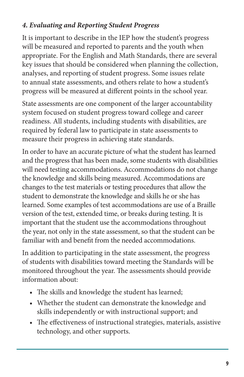#### *4. Evaluating and Reporting Student Progress*

It is important to describe in the IEP how the student's progress will be measured and reported to parents and the youth when appropriate. For the English and Math Standards, there are several key issues that should be considered when planning the collection, analyses, and reporting of student progress. Some issues relate to annual state assessments, and others relate to how a student's progress will be measured at different points in the school year.

State assessments are one component of the larger accountability system focused on student progress toward college and career readiness. All students, including students with disabilities, are required by federal law to participate in state assessments to measure their progress in achieving state standards.

In order to have an accurate picture of what the student has learned and the progress that has been made, some students with disabilities will need testing accommodations. Accommodations do not change the knowledge and skills being measured. Accommodations are changes to the test materials or testing procedures that allow the student to demonstrate the knowledge and skills he or she has learned. Some examples of test accommodations are use of a Braille version of the test, extended time, or breaks during testing. It is important that the student use the accommodations throughout the year, not only in the state assessment, so that the student can be familiar with and benefit from the needed accommodations.

In addition to participating in the state assessment, the progress of students with disabilities toward meeting the Standards will be monitored throughout the year. The assessments should provide information about:

- The skills and knowledge the student has learned;
- Whether the student can demonstrate the knowledge and skills independently or with instructional support; and
- The effectiveness of instructional strategies, materials, assistive technology, and other supports.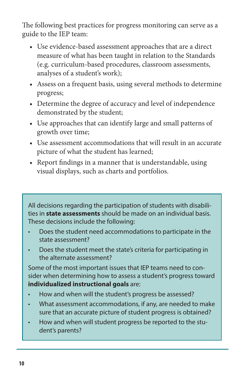The following best practices for progress monitoring can serve as a guide to the IEP team:

- Use evidence-based assessment approaches that are a direct measure of what has been taught in relation to the Standards (e.g. curriculum-based procedures, classroom assessments, analyses of a student's work);
- Assess on a frequent basis, using several methods to determine progress;
- Determine the degree of accuracy and level of independence demonstrated by the student;
- Use approaches that can identify large and small patterns of growth over time;
- Use assessment accommodations that will result in an accurate picture of what the student has learned;
- Report findings in a manner that is understandable, using visual displays, such as charts and portfolios.

All decisions regarding the participation of students with disabilities in **state assessments** should be made on an individual basis. These decisions include the following:

- Does the student need accommodations to participate in the state assessment?
- Does the student meet the state's criteria for participating in the alternate assessment?

Some of the most important issues that IEP teams need to consider when determining how to assess a student's progress toward **individualized instructional goals** are:

- How and when will the student's progress be assessed?
- What assessment accommodations, if any, are needed to make sure that an accurate picture of student progress is obtained?
- How and when will student progress be reported to the student's parents?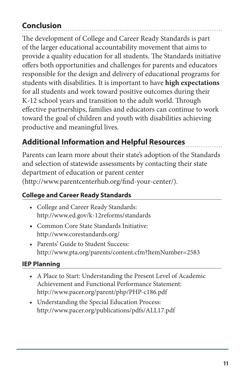## **Conclusion**

The development of College and Career Ready Standards is part of the larger educational accountability movement that aims to provide a quality education for all students. The Standards initiative offers both opportunities and challenges for parents and educators responsible for the design and delivery of educational programs for students with disabilities. It is important to have **high expectations** for all students and work toward positive outcomes during their K-12 school years and transition to the adult world. Through effective partnerships, families and educators can continue to work toward the goal of children and youth with disabilities achieving productive and meaningful lives.

## **Additional Information and Helpful Resources**

Parents can learn more about their state's adoption of the Standards and selection of statewide assessments by contacting their state department of education or parent center (http://www.parentcenterhub.org/find-your-center/).

#### **College and Career Ready Standards**

- College and Career Ready Standards: http://www.ed.gov/k-12reforms/standards
- Common Core State Standards Initiative: http://www.corestandards.org/
- Parents' Guide to Student Success: http://www.pta.org/parents/content.cfm?ItemNumber=2583

#### **IEP Planning**

- A Place to Start: Understanding the Present Level of Academic Achievement and Functional Performance Statement: http://www.pacer.org/parent/php/PHP-c186.pdf
- Understanding the Special Education Process: http://www.pacer.org/publications/pdfs/ALL17.pdf